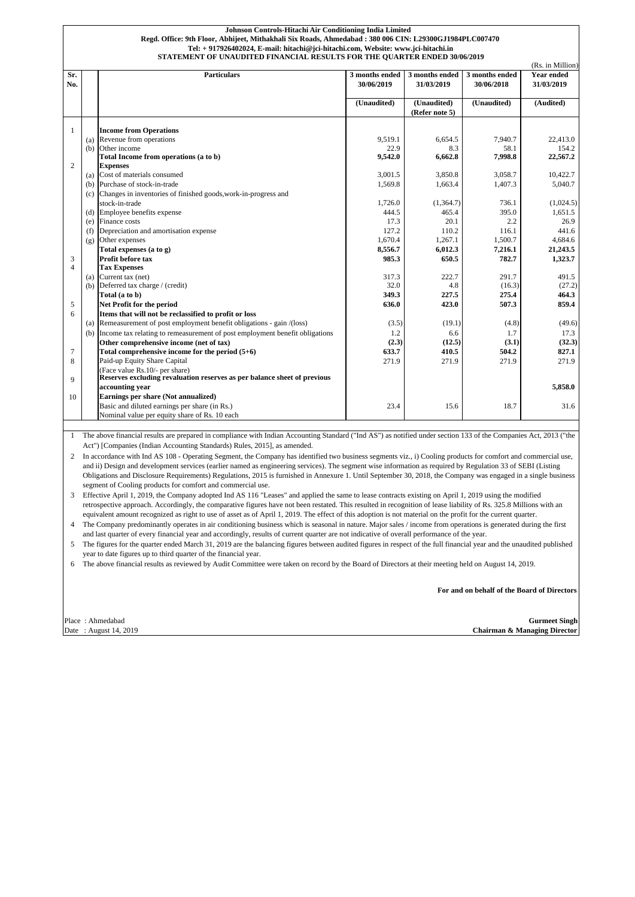| (Rs. in Million) |     |                                                                                                            |                              |                              |                              |                                 |  |  |  |
|------------------|-----|------------------------------------------------------------------------------------------------------------|------------------------------|------------------------------|------------------------------|---------------------------------|--|--|--|
| Sr.<br>No.       |     | <b>Particulars</b>                                                                                         | 3 months ended<br>30/06/2019 | 3 months ended<br>31/03/2019 | 3 months ended<br>30/06/2018 | <b>Year ended</b><br>31/03/2019 |  |  |  |
|                  |     |                                                                                                            | (Unaudited)                  | (Unaudited)                  | (Unaudited)                  | (Audited)                       |  |  |  |
|                  |     |                                                                                                            |                              | (Refer note 5)               |                              |                                 |  |  |  |
| $\mathbf{1}$     |     | <b>Income from Operations</b>                                                                              |                              |                              |                              |                                 |  |  |  |
|                  |     | (a) Revenue from operations                                                                                | 9,519.1                      | 6,654.5                      | 7,940.7                      | 22,413.0                        |  |  |  |
|                  |     | (b) Other income                                                                                           | 22.9                         | 8.3                          | 58.1                         | 154.2                           |  |  |  |
|                  |     | Total Income from operations (a to b)                                                                      | 9,542.0                      | 6,662.8                      | 7,998.8                      | 22,567.2                        |  |  |  |
| $\overline{2}$   |     | <b>Expenses</b>                                                                                            |                              |                              |                              |                                 |  |  |  |
|                  |     | (a) Cost of materials consumed                                                                             | 3,001.5                      | 3,850.8                      | 3,058.7                      | 10,422.7                        |  |  |  |
|                  |     | (b) Purchase of stock-in-trade                                                                             | 1,569.8                      | 1,663.4                      | 1,407.3                      | 5,040.7                         |  |  |  |
|                  |     | (c) Changes in inventories of finished goods, work-in-progress and                                         |                              |                              |                              |                                 |  |  |  |
|                  |     | stock-in-trade                                                                                             | 1,726.0                      | (1,364.7)                    | 736.1                        | (1,024.5)                       |  |  |  |
|                  |     | (d) Employee benefits expense                                                                              | 444.5                        | 465.4                        | 395.0                        | 1,651.5                         |  |  |  |
|                  | (e) | Finance costs                                                                                              | 17.3                         | 20.1                         | 2.2                          | 26.9                            |  |  |  |
|                  | (f) | Depreciation and amortisation expense                                                                      | 127.2                        | 110.2                        | 116.1                        | 441.6                           |  |  |  |
|                  | (g) | Other expenses                                                                                             | 1,670.4                      | 1,267.1                      | 1,500.7                      | 4,684.6                         |  |  |  |
|                  |     | Total expenses (a to g)                                                                                    | 8,556.7                      | 6,012.3                      | 7,216.1                      | 21,243.5                        |  |  |  |
| 3                |     | Profit before tax                                                                                          | 985.3                        | 650.5                        | 782.7                        | 1,323.7                         |  |  |  |
| 4                |     | <b>Tax Expenses</b>                                                                                        |                              |                              |                              |                                 |  |  |  |
|                  |     | (a) Current tax (net)                                                                                      | 317.3                        | 222.7                        | 291.7                        | 491.5                           |  |  |  |
|                  |     | (b) Deferred tax charge / (credit)                                                                         | 32.0                         | 4.8                          | (16.3)                       | (27.2)                          |  |  |  |
|                  |     | Total (a to b)                                                                                             | 349.3                        | 227.5                        | 275.4                        | 464.3                           |  |  |  |
| $\mathfrak s$    |     | Net Profit for the period                                                                                  | 636.0                        | 423.0                        | 507.3                        | 859.4                           |  |  |  |
| 6                |     | Items that will not be reclassified to profit or loss                                                      |                              |                              |                              |                                 |  |  |  |
|                  |     | (a) Remeasurement of post employment benefit obligations - gain /(loss)                                    | (3.5)                        | (19.1)                       | (4.8)                        | (49.6)                          |  |  |  |
|                  |     | (b) Income tax relating to remeasurement of post employment benefit obligations                            | 1.2                          | 6.6                          | 1.7                          | 17.3                            |  |  |  |
|                  |     | Other comprehensive income (net of tax)                                                                    | (2.3)                        | (12.5)                       | (3.1)                        | (32.3)                          |  |  |  |
| $\tau$           |     | Total comprehensive income for the period $(5+6)$                                                          | 633.7                        | 410.5                        | 504.2                        | 827.1                           |  |  |  |
| 8                |     | Paid-up Equity Share Capital                                                                               | 271.9                        | 271.9                        | 271.9                        | 271.9                           |  |  |  |
| 9                |     | (Face value Rs.10/- per share)<br>Reserves excluding revaluation reserves as per balance sheet of previous |                              |                              |                              |                                 |  |  |  |
|                  |     | accounting year                                                                                            |                              |                              |                              | 5,858.0                         |  |  |  |
| 10               |     | Earnings per share (Not annualized)                                                                        |                              |                              |                              |                                 |  |  |  |
|                  |     | Basic and diluted earnings per share (in Rs.)                                                              | 23.4                         | 15.6                         | 18.7                         | 31.6                            |  |  |  |
|                  |     | Nominal value per equity share of Rs. 10 each                                                              |                              |                              |                              |                                 |  |  |  |

2 In accordance with Ind AS 108 - Operating Segment, the Company has identified two business segments viz., i) Cooling products for comfort and commercial use, and ii) Design and development services (earlier named as engineering services). The segment wise information as required by Regulation 33 of SEBI (Listing Obligations and Disclosure Requirements) Regulations, 2015 is furnished in Annexure 1. Until September 30, 2018, the Company was engaged in a single business segment of Cooling products for comfort and commercial use.

**For and on behalf of the Board of Directors**

Place : Ahmedabad **Gurmeet Singh** Date : August 14, 2019 **Chairman & Managing Director**

## **Johnson Controls-Hitachi Air Conditioning India Limited Regd. Office: 9th Floor, Abhijeet, Mithakhali Six Roads, Ahmedabad : 380 006 CIN: L29300GJ1984PLC007470 Tel: + 917926402024, E-mail: hitachi@jci-hitachi.com, Website: www.jci-hitachi.in STATEMENT OF UNAUDITED FINANCIAL RESULTS FOR THE QUARTER ENDED 30/06/2019**

1 The above financial results are prepared in compliance with Indian Accounting Standard ("Ind AS") as notified under section 133 of the Companies Act, 2013 ("the Act") [Companies (Indian Accounting Standards) Rules, 2015], as amended.

4 The Company predominantly operates in air conditioning business which is seasonal in nature. Major sales / income from operations is generated during the first and last quarter of every financial year and accordingly, results of current quarter are not indicative of overall performance of the year.

5 The figures for the quarter ended March 31, 2019 are the balancing figures between audited figures in respect of the full financial year and the unaudited published year to date figures up to third quarter of the financial year.

6 The above financial results as reviewed by Audit Committee were taken on record by the Board of Directors at their meeting held on August 14, 2019.

3 Effective April 1, 2019, the Company adopted Ind AS 116 "Leases" and applied the same to lease contracts existing on April 1, 2019 using the modified retrospective approach. Accordingly, the comparative figures have not been restated. This resulted in recognition of lease liability of Rs. 325.8 Millions with an equivalent amount recognized as right to use of asset as of April 1, 2019. The effect of this adoption is not material on the profit for the current quarter.